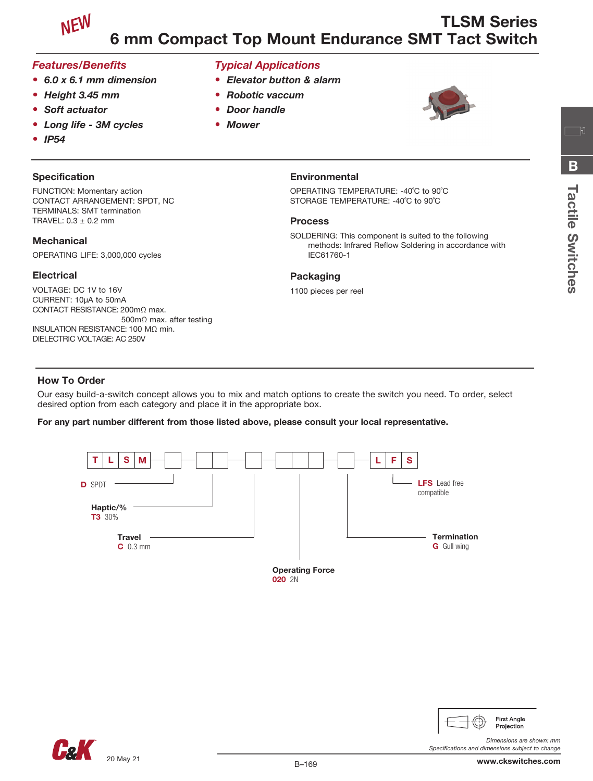

## *Features/Benefits*

- *6.0 x 6.1 mm dimension*
- *Height 3.45 mm*
- *Soft actuator*
- *Long life 3M cycles*
- *IP54*

## **Specification**

FUNCTION: Momentary action CONTACT ARRANGEMENT: SPDT, NC TERMINALS: SMT termination TRAVEL:  $0.3 \pm 0.2$  mm

#### **Mechanical**

OPERATING LIFE: 3,000,000 cycles

#### **Electrical**

VOLTAGE: DC 1V to 16V CURRENT: 10µA to 50mA CONTACT RESISTANCE: 200mΩ max. 500mΩ max. after testing INSULATION RESISTANCE: 100 MΩ min. DIELECTRIC VOLTAGE: AC 250V

# *Typical Applications*

- *Elevator button & alarm*
- *Robotic vaccum*
- *Door handle*
- *Mower*



#### **Environmental**

OPERATING TEMPERATURE: -40˚C to 90˚C STORAGE TEMPERATURE: -40˚C to 90˚C

#### Process

SOLDERING: This component is suited to the following methods: Infrared Reflow Soldering in accordance with IEC61760-1

#### Packaging

1100 pieces per reel

## How To Order

Our easy build-a-switch concept allows you to mix and match options to create the switch you need. To order, select desired option from each category and place it in the appropriate box.

#### For any part number different from those listed above, please consult your local representative.





**First Angle** Projection

*Specifications and dimensions subject to change*

*Dimensions are shown: mm*

<u>ក</u>្រា